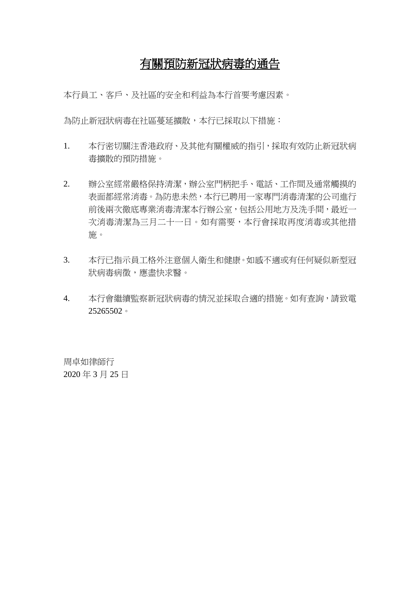## 有關預防新冠狀病毒的通告

本行員工、客戶、及社區的安全和利益為本行首要考慮因素。

為防止新冠狀病毒在社區蔓延擴散,本行已採取以下措施:

- 1. 本行密切關注香港政府、及其他有關權威的指引,採取有效防止新冠狀病 毒擴散的預防措施。
- 2. 辦公室經常嚴格保持清潔,辦公室門柄把手、電話、工作間及通常觸摸的 表面都經常消毒。為防患未然,本行已聘用一家專門消毒清潔的公司進行 前後兩次徹底專業消毒清潔本行辦公室,包括公用地方及洗手間,最近一 次消毒清潔為三月二十一日。如有需要,本行會採取再度消毒或其他措 施。
- 3. 本行已指示員工格外注意個人衛生和健康。如感不適或有任何疑似新型冠 狀病毒病徵,應盡快求醫。
- 4. 本行會繼續監察新冠狀病毒的情況並採取合適的措施。如有查詢,請致電 25265502。

周卓如律師行 2020 年 3 月 25 日